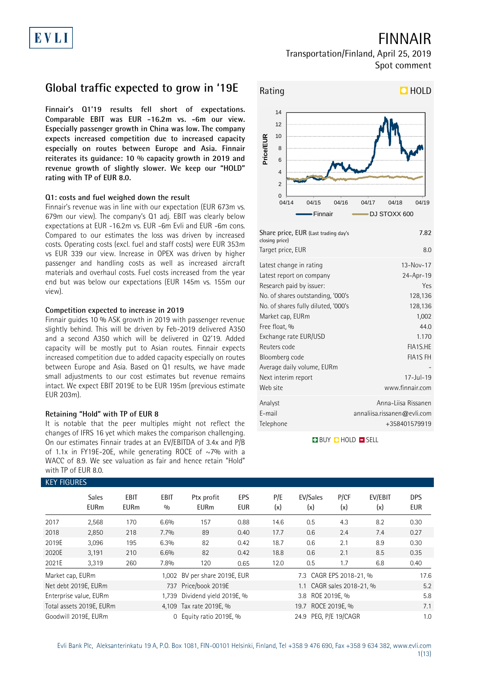# FINNAIR

### Transportation/Finland, April 25, 2019 Spot comment

## **Global traffic expected to grow in '19E**

**Finnair's Q1'19 results fell short of expectations. Comparable EBIT was EUR -16.2m vs. -6m our view. Especially passenger growth in China was low. The company expects increased competition due to increased capacity especially on routes between Europe and Asia. Finnair reiterates its guidance: 10 % capacity growth in 2019 and revenue growth of slightly slower. We keep our "HOLD" rating with TP of EUR 8.0.**

### **Q1: costs and fuel weighed down the result**

Finnair's revenue was in line with our expectation (EUR 673m vs. 679m our view). The company's Q1 adj. EBIT was clearly below expectations at EUR -16.2m vs. EUR -6m Evli and EUR -6m cons. Compared to our estimates the loss was driven by increased costs. Operating costs (excl. fuel and staff costs) were EUR 353m vs EUR 339 our view. Increase in OPEX was driven by higher passenger and handling costs as well as increased aircraft materials and overhaul costs. Fuel costs increased from the year end but was below our expectations (EUR 145m vs. 155m our view).

#### **Competition expected to increase in 2019**

Finnair guides 10 % ASK growth in 2019 with passenger revenue slightly behind. This will be driven by Feb-2019 delivered A350 and a second A350 which will be delivered in Q2'19. Added capacity will be mostly put to Asian routes. Finnair expects increased competition due to added capacity especially on routes between Europe and Asia. Based on Q1 results, we have made small adjustments to our cost estimates but revenue remains intact. We expect EBIT 2019E to be EUR 195m (previous estimate EUR 203m).

### **Retaining "Hold" with TP of EUR 8**

It is notable that the peer multiples might not reflect the changes of IFRS 16 yet which makes the comparison challenging. On our estimates Finnair trades at an EV/EBITDA of 3.4x and P/B of 1.1x in FY19E-20E, while generating ROCE of  $\sim$ 7% with a WACC of 8.9. We see valuation as fair and hence retain "Hold" with TP of EUR 8.0.

### KEY FIQUEE



| Share price, EUR (Last trading day's<br>closing price) | 7.82                        |
|--------------------------------------------------------|-----------------------------|
| Target price, EUR                                      | 8.0                         |
| Latest change in rating                                | $13 - Nov - 17$             |
| Latest report on company                               | 24-Apr-19                   |
| Research paid by issuer:                               | Yes                         |
| No. of shares outstanding, '000's                      | 128,136                     |
| No. of shares fully diluted, '000's                    | 128,136                     |
| Market cap, EURm                                       | 1,002                       |
| Free float, %                                          | 44.0                        |
| Exchange rate EUR/USD                                  | 1.170                       |
| Reuters code                                           | FIA1S.HE                    |
| Bloomberg code                                         | <b>FIA1S FH</b>             |
| Average daily volume, EURm                             |                             |
| Next interim report                                    | $17 -$ Jul - 19             |
| Web site                                               | www.finnair.com             |
| Analyst                                                | Anna-Liisa Rissanen         |
| E-mail                                                 | annaliisa.rissanen@evli.com |
| Telephone                                              | +358401579919               |

**BUY DHOLD SELL** 

| KEY FIGURES      |                             |                     |             |                           |                   |            |                           |             |                |                          |
|------------------|-----------------------------|---------------------|-------------|---------------------------|-------------------|------------|---------------------------|-------------|----------------|--------------------------|
|                  | <b>Sales</b><br><b>EURm</b> | EBIT<br><b>EURm</b> | EBIT<br>0/0 | Ptx profit<br><b>EURm</b> | EPS<br><b>EUR</b> | P/E<br>(x) | EV/Sales<br>(x)           | P/CF<br>(x) | EV/EBIT<br>(x) | <b>DPS</b><br><b>EUR</b> |
| 2017             | 2,568                       | 170                 | 6.6%        | 157                       | 0.88              | 14.6       | 0.5                       | 4.3         | 8.2            | 0.30                     |
| 2018             | 2,850                       | 218                 | 7.7%        | 89                        | 0.40              | 17.7       | 0.6                       | 2.4         | 7.4            | 0.27                     |
| 2019E            | 3,096                       | 195                 | 6.3%        | 82                        | 0.42              | 18.7       | 0.6                       | 2.1         | 8.9            | 0.30                     |
| 2020E            | 3,191                       | 210                 | 6.6%        | 82                        | 0.42              | 18.8       | 0.6                       | 2.1         | 8.5            | 0.35                     |
| 2021E            | 3,319                       | 260                 | 7.8%        | 120                       | 0.65              | 12.0       | 0.5                       | 1.7         | 6.8            | 0.40                     |
| Market cap, EURm |                             |                     | 1.002       | BV per share 2019E, EUR   |                   |            | 7.3 CAGR EPS 2018-21, %   |             |                | 17.6                     |
|                  | Net debt 2019E, EURm        |                     | 737         | Price/book 2019E          |                   |            | 1.1 CAGR sales 2018-21, % |             |                | 5.2                      |
|                  | Enterprise value, EURm      |                     | 1.739       | Dividend yield 2019E, %   |                   |            | 3.8 ROE 2019E, %          |             |                | 5.8                      |
|                  | Total assets 2019E, EURm    |                     |             | 4,109 Tax rate 2019E, %   |                   |            | 19.7 ROCE 2019E, %        |             |                | 7.1                      |
|                  | Goodwill 2019E, EURm        |                     |             | 0 Equity ratio 2019E, %   |                   |            | 24.9 PEG, P/E 19/CAGR     |             |                | 1.0                      |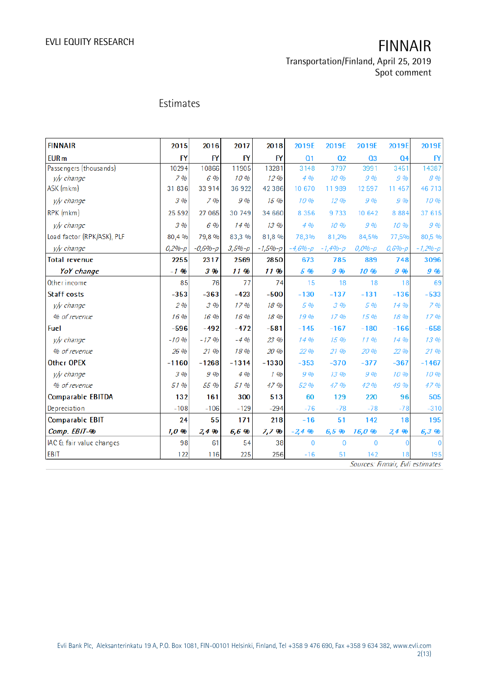Transportation/Finland, April 25, 2019 Spot comment

## Estimates

| <b>FINNAIR</b>             | 2015      | 2016        | 2017       | 2018        | 2019E          | 2019E          | 2019E          | 2019E          | 2019E          |
|----------------------------|-----------|-------------|------------|-------------|----------------|----------------|----------------|----------------|----------------|
| <b>EUR</b> m               | <b>FY</b> | <b>FY</b>   | <b>FY</b>  | FY          | Q <sub>1</sub> | Q <sub>2</sub> | Q <sub>3</sub> | Q <sub>4</sub> | BY             |
| Passengers (thousands)     | 10294     | 10866       | 11905      | 13281       | 3148           | 3797           | 3991           | 3451           | 14387          |
| v/y change                 | 7%        | 6 %         | 10%        | 12%         | 4.96           | 10.96          | 9%             | $9\%$          | 8%             |
| ASK (mkm)                  | 31 836    | 33914       | 36 922     | 42386       | 10 670         | 11989          | 12597          | 11 457         | 46 713         |
| v/y change                 | 3%        | 7%          | 9%         | 15 %        | 10%            | 12.96          | 9%             | $9\%$          | 10 %           |
| RPK (mkm)                  | 25 5 9 2  | 27 065      | 30 749     | 34 660      | 8 3 5 6        | 9733           | 10 642         | 8 8 8 4        | 37 615         |
| v/y change                 | 3%        | 6 %         | 14 %       | 13.96       | 4%             | 10.96          | 9%             | 10%            | 9%             |
| Load factor (RPK/ASK), PLF | 80,4 %    | 79.8%       | 83,3 %     | 81,8 %      | 78,3%          | 81,2%          | 84,5%          | 77,5%          | 80,5 %         |
| y/y change                 | $0,2%-p$  | $-0,6% - p$ | $3,5% - p$ | $-1,5% - p$ | $-4,6% - p$    | $-1,4% - p$    | $0,0% - p$     | $0,6% - p$     | $-1,2%-p$      |
| <b>Total revenue</b>       | 2255      | 2317        | 2569       | 2850        | 673            | 785            | 889            | 748            | 3096           |
| YoY change                 | $-1$ %    | 3 %         | 11 %       | 11 %        | 5 %            | 9 %            | 10 %           | 9 %            | 9 %            |
| Other income               | 85        | 76          | 77         | 74          | 15             | 18             | 18             | 18             | 69             |
| <b>Staff costs</b>         | $-353$    | $-363$      | $-423$     | $-500$      | $-130$         | $-137$         | $-131$         | $-136$         | $-533$         |
| y/y change                 | 2%        | 3%          | 17%        | 18 %        | 5 %            | 3%             | 5 %            | 14%            | 7%             |
| % of revenue               | 16 %      | 16 %        | 16 %       | 18 %        | 19%            | 17.96          | 15 %           | 18%            | 17%            |
| <b>Fuel</b>                | $-596$    | $-492$      | $-472$     | $-581$      | $-145$         | $-167$         | $-180$         | $-166$         | $-658$         |
| y/y change                 | $-10%$    | $-17.96$    | $-4%$      | 23 %        | 14 %           | 15 %           | 1196           | 14%            | 13 %           |
| % of revenue               | 26 %      | 21,00       | 18 %       | 20 %        | 22 %           | 21 %           | 20 %           | 22 %           | 21 %           |
| <b>Other OPEX</b>          | $-1160$   | $-1268$     | $-1314$    | $-1330$     | $-353$         | $-370$         | $-377$         | $-367$         | $-1467$        |
| v/y change                 | 3%        | 9%          | 4%         | $1$ %       | 9%             | 13.96          | 9%             | 10%            | 10 %           |
| % of revenue               | 51 %      | 55 %        | 51 %       | 47 %        | 52 %           | 47 %           | 42 %           | 49 %           | 47%            |
| <b>Comparable EBITDA</b>   | 132       | 161         | 300        | 513         | 60             | 129            | 220            | 96             | 505            |
| Depreciation               | $-108$    | $-106$      | $-129$     | $-294$      | $-76$          | $-78$          | $-78$          | $-78$          | $-310$         |
| <b>Comparable EBIT</b>     | 24        | 55          | 171        | 218         | $-16$          | 51             | 142            | 18             | 195            |
| Comp. EBIT-%               | 1,0,96    | 2,4%        | 6,6 %      | 7,7%        | $-2,4,96$      | 6,5 %          | 16,0 %         | 2,4 %          | 6,3%           |
| IAC & fair value changes   | 98        | 61          | 54         | 38          | $\overline{0}$ | $\mathbf 0$    | 0              | $\overline{0}$ | $\overline{0}$ |
| <b>EBIT</b>                | 122       | 116         | 225        | 256         | $-16$          | 51             | 142            | 18             | 195            |

Sources: Finnair, Evli estimates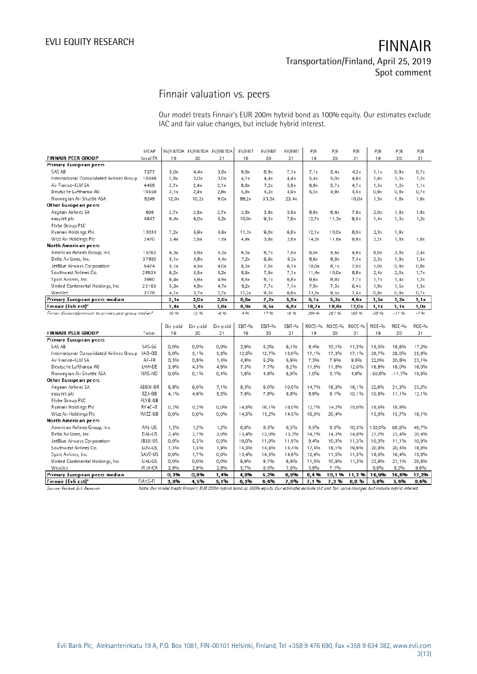# Finnair valuation vs. peers

Our model treats Finnair's EUR 200m hybrid bond as 100% equity. Our estimates exclude IAC and fair value changes, but include hybrid interest.

|                                                        | MCAP     |           | EV/EBITDA EV/EBITDA EV/EBITDA |           | EV/EBIT          | EV/EBIT | EV/EBIT | P/E              | P/E              | P/E              | P/B      | P/B      | P/B    |
|--------------------------------------------------------|----------|-----------|-------------------------------|-----------|------------------|---------|---------|------------------|------------------|------------------|----------|----------|--------|
| <b>FINNAIR PEER GROUP</b>                              | local FX | 19        | 20                            | 21        | 19               | 20      | 21      | 19               | 20               | 21               | 19       | 20       | 21     |
| <b>Primary European peers</b>                          |          |           |                               |           |                  |         |         |                  |                  |                  |          |          |        |
| SAS AB                                                 | 7277     | 5,0x      | 4.4x                          | 3,8x      | 9,6x             | 8,9x    | 7.1x    | 7.1x             | 5.4x             | 4.2x             | 1,1x     | 0.9x     | 0.7x   |
| International Consolidated Airlines Group              | 10599    | 2,8x      | 3,0x                          | 3,0x      | 4.1x             | 4.4x    | 4.4x    | 5,4x             | 5,0x             | 4,6x             | 1,6x     | 1, 3x    | 1,2x   |
| Air France-KLM SA                                      | 4459     | 2.7x      | 2.4x                          | 2,1x      | 8.6x             | 7.2x    | 5.9x    | 6.8x             | 5.7x             | 4.7x             | 1.5x     | 1,2x     | 1,1x   |
| Deutsche Lufthansa AG                                  | 10459    | 3,1x      | 2,9x                          | 2,8x      | 5,8x             | 5,2x    | 4.9x    | 5,3x             | 4.9x             | 4,5x             | 0,9x     | 0,8x     | 0,7x   |
| Norwegian Air Shuttle ASA                              | 5249     | 12.0x     | 10.2x                         | 9,0x      | 99,2x            | 33,3x   | 23,4x   |                  |                  | 10,0x            | 1,5x     | 1,8x     | 1,6x   |
| Other European peers                                   |          |           |                               |           |                  |         |         |                  |                  |                  |          |          |        |
| Aegean Airlines SA                                     | 606      | 2,7x      | 2,6x                          | 2.7x      | 3,8x             | 3,6x    | 3,9x    | 8,9x             | 8,6x             | 7,8x             | 2,0x     | 1,8x     | 1,8x   |
| easyJet plc                                            | 4647     | 6.4x      | 6.0x                          | 5.2x      | 10.0x            | 9.3x    | 7.9x    | 12.7x            | 11.3x            | 9.5x             | 1.4x     | 1, 3x    | 1,2x   |
| Flybe Group PLC                                        |          |           |                               |           |                  |         |         |                  |                  |                  |          |          |        |
| Ryanair Holdings Plc                                   | 13034    | 7.2x      | 5.9x                          | 4,6x      | 11,3x            | 9,0x    | 6.8x    | 12.1x            | 10,0x            | 8,0x             | 2,3x     | 1,9x     |        |
| Wizz Air Holdings Plc                                  | 2470     | 3.4x      | 2.6x                          | 1.5x      | 4.9x             | 3.8x    | 2.6x    | 14.2x            | 11.6x            | 9.9x             | 2.2x     | 1,8x     | 1,8x   |
| <b>North American peers</b>                            |          |           |                               |           |                  |         |         |                  |                  |                  |          |          |        |
| American Airlines Group, Inc.                          | 15263    | 6,3x      | 5.9x                          | 5,3x      | 9.3x             | 8,7x    | 7.9x    | 6,0x             | 5,6x             | 4,9x             | 8,0x     | 3,8x     | 2,4x   |
| Delta Air Lines, Inc.                                  | 37892    | 5.1x      | 4.8x                          | 4.4x      | 7.2x             | 6,8x    | 6,2x    | 8,6x             | 8,0x             | 7,4x             | 2,3x     | 1,9x     | 1,5x   |
| JetBlue Airways Corporation                            | 5474     | 5.1x      | 4.5x                          | 4.0x      | 8,3x             | 7.0x    | 6,1x    | 10.0x            | 8,1x             | 7,0x             | 1.0x     | 0,9x     | 0,8x   |
| Southwest Airlines Co.                                 | 28934    | 6,2x      | 5,5x                          | 5,2x      | 8,6x             | 7,6x    | 7.1x    | 11,4x            | 10,0x            | 8,8x             | 2,4x     | 2,0x     | 1,7x   |
| Spirit Airlines, Inc.                                  | 3990     | 6,4x      | 5.9x                          | 4.9x      | 8,5x             | 8,1x    | 6.8x    | 9,6x             | 8,8x             | 7.7x             | 1,7x     | 1,4x     | 1,2x   |
| United Continental Holdings, Inc.                      | 23163    | 5.3x      | 4.9x                          | 4.7x      | 8,2x             | 7.7x    | 7.1x    | 7.9x             | 7,3x             | 6.4x             | 1,9x     | 1,5x     | 1,3x   |
| WestJet                                                | 2178     | 4,1x      | 3.7x                          | 2,7x      | 11,2x            | 9,3x    | 6,6x    | 12,2x            | 9,5x             | 7,4x             | 0,8x     | 0,8x     | 0,7x   |
| Primary European peers median                          |          | 3,1x      | 3.0x                          | 3,0x      | 8,6x             | 7,2x    | 5,9x    | 6, 1x            | 5,2x             | 4,6x             | 1,5x     | 1,2x     | 1,1x   |
| Finnair (Evli est)*                                    |          | 3.4x      | 3.4x                          | 2.8x      | 8,9x             | 8,5x    | 6.8x    | 18,7x            | 18.8x            | 12,0x            | 1,1x     | 1, 1x    | 1,0x   |
| Finnair discount/premium to primary peer group median* |          | 10 %      | 12 96                         | $-696$    | 496              | 1796    | 16 %    | 204 %            | 26196            | 163 %            | $-29.9b$ | $-1196$  | $-796$ |
|                                                        |          | Div yield |                               | Div yield | EBIT-%           | EBIT-%  | EBIT-%  | ROCE-%           | ROCE-%           | ROCE-%           | ROE-%    | ROE-%    | ROE-%  |
| <b>FINNAIR PEER GROUP</b>                              | Ticker   | 19        | Div yield<br>20               | 21        | 19               | 20      | 21      | 19               | 20               | 21               | 19       | 20       | 21     |
| <b>Primary European peers</b>                          |          |           |                               |           |                  |         |         |                  |                  |                  |          |          |        |
| SAS AB                                                 | SAS-SE   | 0,0%      | 0.0%                          | 0.0%      | 3,9%             | 5,2%    | 6.1%    | 8.4%             | 10.1%            | 11,3%            | 15,5%    | 16,6%    | 17,2%  |
| International Consolidated Airlines Group              | IAG-GB   | 5,0%      | 5,1%                          | 5,6%      | 12,5%            | 12,7%   | 13,0%   | 17,1%            | 17,3%            | 17,1%            | 28,7%    | 26,0%    | 25,9%  |
| Air France-KLM SA                                      | AF-FR    | 0,3%      | 0,8%                          | 1,4%      | 4,8%             | 5,2%    | 5,9%    | 7,3%             | 7,9%             | 9,5%             | 22,0%    | 20,8%    | 23,1%  |
| Deutsche Lufthansa AG                                  | LHA-DE   | 3,9%      | 4.3%                          | 4,6%      | 7,3%             | 7,7%    | 8,2%    | 11,5%            | 11,8%            | 12,0%            | 16,9%    | 16,0%    | 16,0%  |
| Norwegian Air Shuttle ASA                              | NAS-NO   | 0,0%      | 0,1%                          | 0,4%      | 1,6%             | 4,8%    | 6,9%    | 1,0%             | 3,1%             | 4,6%             | $-50,8%$ | $-11,7%$ | 15,9%  |
| Other European peers                                   |          |           |                               |           |                  |         |         |                  |                  |                  |          |          |        |
| Aegean Airlines SA                                     | AEGN-GR  | 5.8%      | 6.0%                          | 7.1%      | 8.3%             | $9.0\%$ | 10.0%   | 14.7%            | 16.3%            | 18.1%            | 22.6%    | 21.3%    | 23,2%  |
| easyJet plc                                            | EZJ-GB   | 4,1%      | 4,6%                          | 5,5%      | 7,6%             | 7,8%    | 8,8%    | 8,9%             | 9,1%             | 10,1%            | 10,6%    | 11,1%    | 12,1%  |
| Flybe Group PLC                                        | FLYB-GB  |           |                               |           |                  |         |         |                  |                  |                  |          |          |        |
| Ryanair Holdings Plc                                   | RY 4C-IE | 0.2%      | 0.2%                          | $0.0\%$   | 14,5%            | 16,1%   | 18,0%   | 12,7%            | 14,2%            | 15,0%            | 18,6%    | 18,9%    |        |
| Wizz Air Holdings Plc                                  | WIZZ-GB  | 0,0%      | $0.0\%$                       | $0,0\%$   | 14,5%            | 15,2%   | 14,5%   | 18,3%            | 20,4%            |                  | 15,9%    | 15,7%    | 18,1%  |
| <b>North American peers</b>                            |          |           |                               |           |                  |         |         |                  |                  |                  |          |          |        |
| American Airlines Group, Inc.                          | AAL-US   | 1,2%      | 1,2%                          | 1,2%      | 8,8%             | 8,5%    | 8,5%    | 9,5%             | 9.5%             | 10,5%            | 132,0%   | 68,6%    | 49,7%  |
| Delta Air Lines, Inc.                                  | DAL-US   | 2,4%      | 2,7%                          | 3,0%      | 13,4%            | 13,0%   | 13,2%   | 14,7%            | 14,3%            | 14,8%            | 27,2%    | 23,4%    | 20,4%  |
| JetBlue Airways Corporation                            | JBLU-US  | 0,0%      | 5,5%                          | $0,0\%$   | 10,0%            | 11,0%   | 11,9%   | 9,4%             | 10,3%            | 11,5%            | 10,3%    | 11,1%    | 10,9%  |
| Southwest Airlines Co.                                 | LUV-US   | 1,3%      | 1.5%                          | 1.9%      | 14,3%            | 14,6%   | 14,4%   | 17,4%            | 18,1%            | 19.9%            | 20,8%    | 20,4%    | 18,8%  |
| Spirit Airlines, Inc.                                  | SAVE-US  | 0,0%      | 1,7%                          | $0,0\%$   | 15,4%            | 14,5%   | 14,6%   | 12,4%            | 11,5%            | 11,3%            | 18,0%    | 16,4%    | 15,8%  |
| United Continental Holdings, Inc.                      | UAL-US   | 0,0%      | $0,0\%$                       | $0,0\%$   | 9,9%             | 9,7%    | 9,9%    | 11,3%            | 10,9%            | 11,2%            | 23,9%    | 21,1%    | 20,6%  |
| WestJet                                                | W JA-CA  | 2,9%      | 2,9%                          | 2,9%      | 5,7%             | 6,5%    | 7,6%    | 5,9%             | 7,1%             |                  | 6.8%     | 8,2%     | 9,6%   |
| Primary European peers median                          |          | 0,3%      | 0,8%                          | 1,4%      | 4,8%             | 5,2%    | 6,9%    | 8,4%             |                  | 10, 1 % 11, 3 %  | 16,9%    | 16,6%    | 17,2%  |
| $E$ innair (Euli act)t                                 | E[A1C]E  | 2.98      | 4.5 <sub>0</sub>              | E 104     | c <sub>204</sub> | c ch    | 7.0%    | 7.1 <sup>0</sup> | 7.2 <sup>0</sup> | 0.0 <sub>0</sub> | r of u   | E CM     | 0.04   |

Note: Our model treats Finnair's EUR 200m hybrid bond as 100% equity. Our estimates exclude IAC and fair value changes, but include hybrid interest. Source: Factset, Evli Research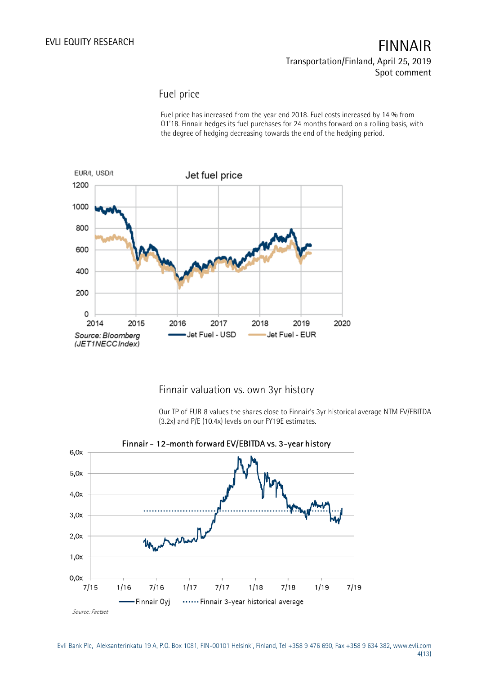### Fuel price

Fuel price has increased from the year end 2018. Fuel costs increased by 14 % from Q1'18. Finnair hedges its fuel purchases for 24 months forward on a rolling basis, with the degree of hedging decreasing towards the end of the hedging period.



### Finnair valuation vs. own 3yr history

Our TP of EUR 8 values the shares close to Finnair's 3yr historical average NTM EV/EBITDA (3.2x) and P/E (10.4x) levels on our FY19E estimates.



#### Evli Bank Plc, Aleksanterinkatu 19 A, P.O. Box 1081, FIN-00101 Helsinki, Finland, Tel +358 9 476 690, Fax +358 9 634 382, [www.evli.com](http://www.evli.com/) 4(13)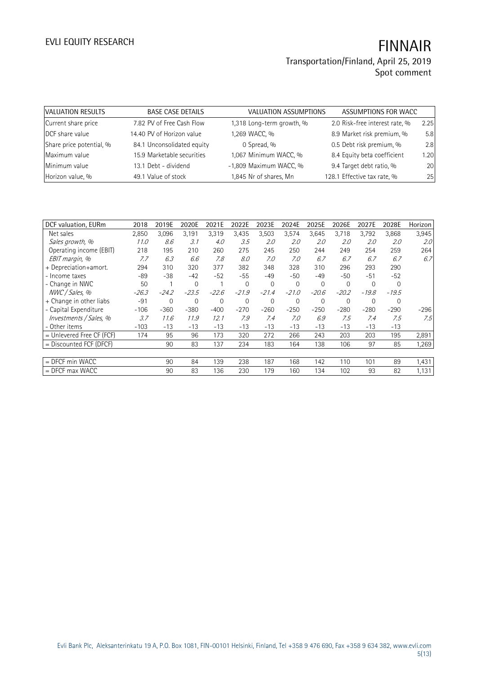# EVLI EQUITY RESEARCH **FINNAIR** Transportation/Finland, April 25, 2019

| VALUATION RESULTS        | <b>BASE CASE DETAILS</b>   | <b>VALUATION ASSUMPTIONS</b> | ASSUMPTIONS FOR WACC           |      |
|--------------------------|----------------------------|------------------------------|--------------------------------|------|
| Current share price      | 7.82 PV of Free Cash Flow  | 1,318 Long-term growth, %    | 2.0 Risk-free interest rate, % | 2.25 |
| DCF share value          | 14.40 PV of Horizon value  | 1,269 WACC, %                | 8.9 Market risk premium, %     | 5.8  |
| Share price potential, % | 84.1 Unconsolidated equity | 0 Spread, %                  | 0.5 Debt risk premium, %       | 2.8  |
| Maximum value            | 15.9 Marketable securities | 1,067 Minimum WACC, %        | 8.4 Equity beta coefficient    | 1.20 |
| Minimum value            | 13.1 Debt - dividend       | -1,809 Maximum WACC, %       | 9.4 Target debt ratio, %       | 20   |
| Horizon value, %         | 49.1 Value of stock        | 1,845 Nr of shares, Mn       | 128.1 Effective tax rate, %    | 25   |

| DCF valuation, EURm         | 2018    | 2019E          | 2020E       | 2021E   | 2022E    | 2023E       | 2024E        | 2025E       | 2026E          | 2027E   | 2028E   | Horizon          |
|-----------------------------|---------|----------------|-------------|---------|----------|-------------|--------------|-------------|----------------|---------|---------|------------------|
| Net sales                   | 2,850   | 3,096          | 3,191       | 3,319   | 3,435    | 3,503       | 3,574        | 3,645       | 3,718          | 3,792   | 3,868   | 3,945            |
| Sales growth, %             | 11.0    | 8.6            | 3.1         | 4.0     | 3.5      | 2.0         | 2.0          | 2.0         | 2.0            | 2.0     | 2.0     | 2.0 <sup>°</sup> |
| Operating income (EBIT)     | 218     | 195            | 210         | 260     | 275      | 245         | 250          | 244         | 249            | 254     | 259     | 264              |
| EBIT margin, %              | 7.7     | 6.3            | 6.6         | 7.8     | 8.0      | 7.0         | 7.0          | 6.7         | 6.7            | 6.7     | 6.7     | 6.7              |
| + Depreciation+amort.       | 294     | 310            | 320         | 377     | 382      | 348         | 328          | 310         | 296            | 293     | 290     |                  |
| - Income taxes              | -89     | $-38$          | $-42$       | $-52$   | $-55$    | $-49$       | $-50$        | -49         | $-50$          | $-51$   | $-52$   |                  |
| - Change in NWC             | 50      |                | $\mathbf 0$ |         | $\Omega$ | $\mathbf 0$ | 0            | 0           | $\overline{0}$ | 0       | 0       |                  |
| NWC / Sales, %              | $-26.3$ | $-24.2$        | $-23.5$     | $-22.6$ | $-21.9$  | $-21.4$     | $-21.0$      | $-20.6$     | $-20.2$        | $-19.8$ | $-19.5$ |                  |
| + Change in other liabs     | $-91$   | $\overline{0}$ | $\mathbf 0$ | 0       | $\Omega$ | $\mathbf 0$ | $\mathbf{0}$ | $\mathbf 0$ | $\overline{0}$ | 0       | 0       |                  |
| - Capital Expenditure       | $-106$  | $-360$         | $-380$      | $-400$  | $-270$   | $-260$      | $-250$       | $-250$      | $-280$         | $-280$  | $-290$  | $-296$           |
| Investments / Sales, %      | 3.7     | 11.6           | 11.9        | 12.1    | 7.9      | 7.4         | 7.0          | 6.9         | 7.5            | 7.4     | 7.5     | 7.5              |
| - Other items               | $-103$  | $-13$          | $-13$       | $-13$   | -13      | $-13$       | $-13$        | $-13$       | $-13$          | $-13$   | $-13$   |                  |
| $=$ Unlevered Free CF (FCF) | 174     | 95             | 96          | 173     | 320      | 272         | 266          | 243         | 203            | 203     | 195     | 2,891            |
| $=$ Discounted FCF (DFCF)   |         | 90             | 83          | 137     | 234      | 183         | 164          | 138         | 106            | 97      | 85      | 1,269            |
|                             |         |                |             |         |          |             |              |             |                |         |         |                  |
| $=$ DFCF min WACC           |         | 90             | 84          | 139     | 238      | 187         | 168          | 142         | 110            | 101     | 89      | 1,431            |
| $=$ DFCF max WACC           |         | 90             | 83          | 136     | 230      | 179         | 160          | 134         | 102            | 93      | 82      | 1,131            |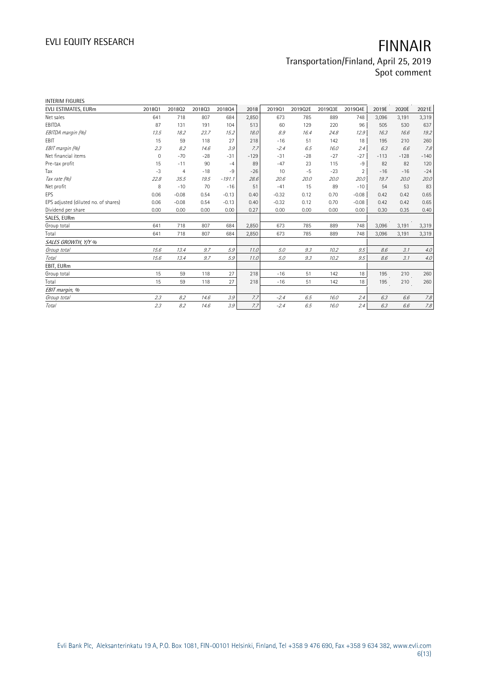| <b>INTERIM FIGURES</b>               |              |         |        |          |        |         |         |         |                |        |        |        |
|--------------------------------------|--------------|---------|--------|----------|--------|---------|---------|---------|----------------|--------|--------|--------|
| EVLI ESTIMATES, EURm                 | 201801       | 201802  | 201803 | 201804   | 2018   | 201901  | 2019Q2E | 2019Q3E | 2019Q4E        | 2019E  | 2020E  | 2021E  |
| Net sales                            | 641          | 718     | 807    | 684      | 2,850  | 673     | 785     | 889     | 748            | 3.096  | 3,191  | 3,319  |
| EBITDA                               | 87           | 131     | 191    | 104      | 513    | 60      | 129     | 220     | 96             | 505    | 530    | 637    |
| EBITDA margin (%)                    | 13.5         | 18.2    | 23.7   | 15.2     | 18.0   | 8.9     | 16.4    | 24.8    | 12.9           | 16.3   | 16.6   | 19.2   |
| EBIT                                 | 15           | 59      | 118    | 27       | 218    | $-16$   | 51      | 142     | 18             | 195    | 210    | 260    |
| EBIT margin (%)                      | 2.3          | 8.2     | 14.6   | 3.9      | 7.7    | $-2.4$  | 6.5     | 16.0    | 2.4            | 6.3    | 6.6    | 7.8    |
| Net financial items                  | $\mathbf{0}$ | $-70$   | $-28$  | $-31$    | $-129$ | $-31$   | $-28$   | $-27$   | $-27$          | $-113$ | $-128$ | $-140$ |
| Pre-tax profit                       | 15           | $-11$   | 90     | $-4$     | 89     | $-47$   | 23      | 115     | $-9$           | 82     | 82     | 120    |
| Tax                                  | $-3$         | 4       | $-18$  | -9       | $-26$  | 10      | $-5$    | $-23$   | $\overline{2}$ | $-16$  | $-16$  | $-24$  |
| Tax rate (%)                         | 22.8         | 35.5    | 19.5   | $-191.1$ | 28.6   | 20.6    | 20.0    | 20.0    | 20.0           | 19.7   | 20.0   | 20.0   |
| Net profit                           | 8            | $-10$   | 70     | $-16$    | 51     | $-41$   | 15      | 89      | $-10$          | 54     | 53     | 83     |
| EPS                                  | 0.06         | $-0.08$ | 0.54   | $-0.13$  | 0.40   | $-0.32$ | 0.12    | 0.70    | $-0.08$        | 0.42   | 0.42   | 0.65   |
| EPS adjusted (diluted no. of shares) | 0.06         | $-0.08$ | 0.54   | $-0.13$  | 0.40   | $-0.32$ | 0.12    | 0.70    | $-0.08$        | 0.42   | 0.42   | 0.65   |
| Dividend per share                   | 0.00         | 0.00    | 0.00   | 0.00     | 0.27   | 0.00    | 0.00    | 0.00    | 0.00           | 0.30   | 0.35   | 0.40   |
| SALES, EURm                          |              |         |        |          |        |         |         |         |                |        |        |        |
| Group total                          | 641          | 718     | 807    | 684      | 2,850  | 673     | 785     | 889     | 748            | 3,096  | 3,191  | 3,319  |
| Total                                | 641          | 718     | 807    | 684      | 2,850  | 673     | 785     | 889     | 748            | 3,096  | 3,191  | 3,319  |
| SALES GROWTH, Y/Y %                  |              |         |        |          |        |         |         |         |                |        |        |        |
| Group total                          | 15.6         | 13.4    | 9.7    | 5.9      | 11.0   | 5.0     | 9.3     | 10.2    | 9.5            | 8.6    | 3.1    | 4.0    |
| Total                                | 15.6         | 13.4    | 9.7    | 5.9      | 11.0   | 5.0     | 9.3     | 10.2    | 9.5            | 8.6    | 3.1    | $4.0$  |
| EBIT, EURm                           |              |         |        |          |        |         |         |         |                |        |        |        |
| Group total                          | 15           | 59      | 118    | 27       | 218    | $-16$   | 51      | 142     | 18             | 195    | 210    | 260    |
| Total                                | 15           | 59      | 118    | 27       | 218    | $-16$   | 51      | 142     | 18             | 195    | 210    | 260    |
| EBIT margin, %                       |              |         |        |          |        |         |         |         |                |        |        |        |
| Group total                          | 2.3          | 8.2     | 14.6   | 3.9      | 7.7    | $-2.4$  | 6.5     | 16.0    | 2.4            | 6.3    | 6.6    | 7.8    |
| Total                                | 2.3          | 8.2     | 14.6   | 3.9      | 7.7    | $-2.4$  | 6.5     | 16.0    | 2.4            | 6.3    | 6.6    | 7.8    |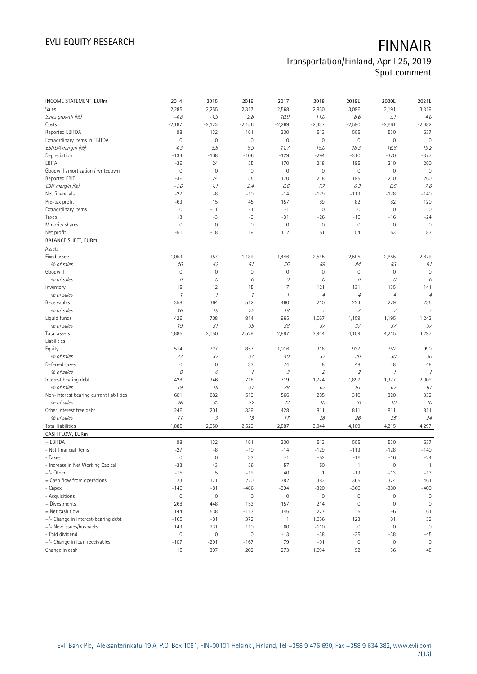| INCOME STATEMENT, EURm                   | 2014                | 2015                | 2016                       | 2017                | 2018                        | 2019E                    | 2020E               | 2021E          |
|------------------------------------------|---------------------|---------------------|----------------------------|---------------------|-----------------------------|--------------------------|---------------------|----------------|
| Sales                                    | 2,285               | 2,255               | 2,317                      | 2,568               | 2,850                       | 3,096                    | 3,191               | 3,319          |
| Sales growth (%)                         | $-4.8$              | $-1.3$              | 2.8                        | 10.9                | 11.0                        | 8.6                      | 3.1                 | 4.0            |
| Costs                                    | $-2,187$            | $-2,123$            | $-2,156$                   | $-2,269$            | $-2,337$                    | $-2,590$                 | $-2,661$            | $-2,682$       |
| Reported EBITDA                          | 98                  | 132                 | 161                        | 300                 | 513                         | 505                      | 530                 | 637            |
| Extraordinary items in EBITDA            | $\mathbf 0$         | $\mathbf 0$         | $\mathsf{O}\xspace$        | $\mathsf{O}\xspace$ | $\mathbf 0$                 | $\mathsf{O}\xspace$      | $\mathbf 0$         | $\mathbf 0$    |
| EBITDA margin (%)                        | 4.3                 | 5.8                 | 6.9                        | 11.7                | 18.0                        | 16.3                     | 16.6                | 19.2           |
| Depreciation                             | $-134$              | $-108$              | $-106$                     | $-129$              | $-294$                      | $-310$                   | $-320$              | $-377$         |
| EBITA                                    | $-36$               | 24                  | 55                         | 170                 | 218                         | 195                      | 210                 | 260            |
| Goodwill amortization / writedown        | $\mathbf 0$         | $\mathbf 0$         | $\mathbb O$                | $\mathsf{O}\xspace$ | $\mathbf 0$                 | $\mathsf{O}\xspace$      | $\mathbf 0$         | $\mathbf 0$    |
| Reported EBIT                            | $-36$               | 24                  | 55                         | 170                 | 218                         | 195                      | 210                 | 260            |
| EBIT margin (%)                          | $-1.6$              | 1.1                 | 2.4                        | 6.6                 | 7.7                         | 6.3                      | 6.6                 | 7.8            |
| Net financials                           | $-27$               | $-8$                | $-10$                      | $-14$               | $-129$                      | $-113$                   | $-128$              | $-140$         |
| Pre-tax profit                           | $-63$               | 15                  | 45                         | 157                 | 89                          | 82                       | 82                  | 120            |
| Extraordinary items                      | $\mathbf 0$         | $-11$               | $-1$                       | $-1$                | $\mathbf 0$                 | $\mathsf{O}\xspace$      | $\mathbf 0$         | $\mathbf 0$    |
| Taxes                                    | 13                  | $-3$                | -9                         | $-31$               | $-26$                       | $-16$                    | $-16$               | $-24$          |
| Minority shares                          | $\mathbf 0$         | $\mathbf 0$         | 0                          | $\mathbf 0$         | $\mathsf{O}\xspace$         | $\mathbb O$              | $\mathbb O$         | $\overline{0}$ |
| Net profit                               | $-51$               | $-18$               | 19                         | 112                 | 51                          | 54                       | 53                  | 83             |
| <b>BALANCE SHEET, EURm</b>               |                     |                     |                            |                     |                             |                          |                     |                |
| Assets                                   |                     |                     |                            |                     |                             |                          |                     |                |
| Fixed assets                             | 1,053               | 957                 | 1,189                      | 1,446               | 2,545                       | 2,595                    | 2,655               | 2,679          |
| % of sales                               | 46                  | 42                  | 51                         | 56                  | 89                          | 84                       | 83                  | 81             |
| Goodwill                                 | $\mathbf 0$         | $\mathbf 0$         | $\mathsf{O}\xspace$        | $\mathsf{O}\xspace$ | $\mathbf 0$                 | $\mathsf{O}\xspace$      | $\mathbf 0$         | $\mathbf 0$    |
| % of sales                               | 0                   | 0                   | 0                          | 0                   | 0                           | 0                        | 0                   | 0              |
| Inventory                                | 15                  | 12                  | 15                         | 17                  | 121                         | 131                      | 135                 | 141            |
| % of sales                               | $\mathcal{I}$       | $\mathcal I$        | $\boldsymbol{\mathcal{I}}$ | $\mathcal{I}$       | $\overline{4}$              | $\overline{4}$           | $\sqrt{4}$          | $\overline{4}$ |
| Receivables                              | 358                 | 364                 | 512                        | 460                 | 210                         | 224                      | 229                 | 235            |
| % of sales                               | 16                  | 16                  | 22                         | 18                  | $\overline{7}$              | $\overline{7}$           | 7                   | $\overline{z}$ |
| Liquid funds                             | 426                 | 708                 | 814                        | 965                 | 1,067                       | 1,159                    | 1,195               | 1,243          |
| % of sales                               | 19                  | 31                  | 35                         | 38                  | 37                          | 37                       | 37                  | 37             |
| Total assets<br>Liabilities              | 1,885               | 2,050               | 2,529                      | 2,887               | 3,944                       | 4,109                    | 4,215               | 4,297          |
| Equity                                   | 514                 | 727                 | 857                        | 1,016               | 918                         | 937                      | 952                 | 990            |
| % of sales                               | 23                  | 32                  | 37                         | $40\,$              | 32                          | 30                       | 30                  | 30             |
| Deferred taxes                           | $\mathbb O$         | $\mathbf 0$         | 33                         | 74                  | 48                          | 48                       | 48                  | 48             |
| % of sales                               | 0                   | $\mathcal O$        | $\mathcal I$               | 3                   | $\mathcal{L}_{\mathcal{L}}$ | $\overline{\mathcal{L}}$ | $\mathcal{I}$       | $\mathcal I$   |
| Interest bearing debt                    | 428                 | 346                 | 718                        | 719                 | 1,774                       | 1,897                    | 1,977               | 2,009          |
| % of sales                               | 19                  | 15                  | 31                         | 28                  | 62                          | 61                       | 62                  | 61             |
| Non-interest bearing current liabilities | 601                 | 682                 | 519                        | 566                 | 285                         | 310                      | 320                 | 332            |
| % of sales                               | 26                  | 30                  | 22                         | 22                  | 10                          | 10                       | 10                  | 10             |
| Other interest free debt                 | 246                 | 201                 | 339                        | 428                 | 811                         | 811                      | 811                 | 811            |
| % of sales                               | 11                  | $\mathcal G$        | 15                         | 17                  | 28                          | 26                       | 25                  | 24             |
| Total liabilities                        | 1,885               | 2,050               | 2,529                      | 2,887               | 3,944                       | 4,109                    | 4,215               | 4,297          |
| CASH FLOW, EURm                          |                     |                     |                            |                     |                             |                          |                     |                |
| + EBITDA                                 | 98                  | 132                 | 161                        | 300                 | 513                         | 505                      | 530                 | 637            |
| - Net financial items                    | $-27$               | $-8$                | $-10$                      | $-14$               | $-129$                      | $-113$                   | $-128$              | $-140$         |
| - Taxes                                  | $\mathsf{O}\xspace$ | $\mathsf{O}\xspace$ | 33                         | $-1$                | $-52$                       | $-16$                    | $-16$               | $-24$          |
| - Increase in Net Working Capital        | $-33$               | 43                  | 56                         | 57                  | 50                          | $\mathbf{1}$             | $\mathbf 0$         | $\overline{1}$ |
| $+/-$ Other                              | $-15$               | 5                   | $-19$                      | 40                  | $\mathbf{1}$                | $-13$                    | $-13$               | $-13$          |
| = Cash flow from operations              | 23                  | 171                 | 220                        | 382                 | 383                         | 365                      | 374                 | 461            |
| - Capex                                  | $-146$              | $-81$               | $-486$                     | $-394$              | $-320$                      | $-360$                   | $-380$              | $-400$         |
| - Acquisitions                           | $\mathsf{O}\xspace$ | $\mathbf 0$         | $\mathsf{O}\xspace$        | $\mathsf{O}\xspace$ | $\mathsf{O}\xspace$         | $\mathbb O$              | $\mathsf{O}\xspace$ | 0              |
| + Divestments                            | 268                 | 448                 | 153                        | 157                 | 214                         | $\mathbb O$              | $\mathbf 0$         | $\mathbf 0$    |
| = Net cash flow                          | 144                 | 538                 | $-113$                     | 146                 | 277                         | $\sqrt{5}$               | $-6$                | 61             |
| +/- Change in interest-bearing debt      | $-165$              | $-81$               | 372                        | $\mathbf{1}$        | 1,056                       | 123                      | 81                  | 32             |
| +/- New issues/buybacks                  | 143                 | 231                 | 110                        | 60                  | $-110$                      | $\mathbb O$              | $\mathbf 0$         | $\mathbf 0$    |
| - Paid dividend                          | $\mathsf{O}\xspace$ | $\mathbf 0$         | $\mathsf{O}\xspace$        | $-13$               | $-38$                       | $-35$                    | $-38$               | $-45$          |
| +/- Change in loan receivables           | $-107$              | $-291$              | -167                       | 79                  | $-91$                       | $\mathbb O$              | $\boldsymbol{0}$    | 0              |
| Change in cash                           | 15                  | 397                 | 202                        | 273                 | 1,094                       | 92                       | 36                  | 48             |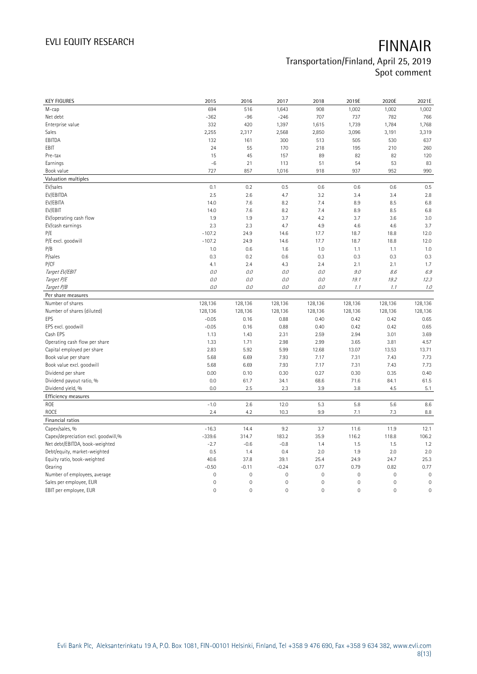| <b>KEY FIGURES</b>                              | 2015                | 2016                | 2017                | 2018         | 2019E               | 2020E           | 2021E        |
|-------------------------------------------------|---------------------|---------------------|---------------------|--------------|---------------------|-----------------|--------------|
| M-cap                                           | 694                 | 516                 | 1,643               | 908          | 1,002               | 1,002           | 1,002        |
| Net debt                                        | $-362$              | $-96$               | $-246$              | 707          | 737                 | 782             | 766          |
| Enterprise value                                | 332                 | 420                 | 1,397               | 1,615        | 1,739               | 1,784           | 1,768        |
| Sales                                           | 2,255               | 2,317               | 2,568               | 2,850        | 3,096               | 3,191           | 3,319        |
| EBITDA                                          | 132                 | 161                 | 300                 | 513          | 505                 | 530             | 637          |
| EBIT                                            | 24                  | 55                  | 170                 | 218          | 195                 | 210             | 260          |
| Pre-tax                                         | 15                  | 45                  | 157                 | 89           | 82                  | 82              | 120          |
| Earnings                                        | $-6$                | 21                  | 113                 | 51           | 54                  | 53              | 83           |
| Book value                                      | 727                 | 857                 | 1,016               | 918          | 937                 | 952             | 990          |
| Valuation multiples                             |                     |                     |                     |              |                     |                 |              |
| EV/sales                                        | 0.1                 | 0.2                 | 0.5                 | 0.6          | 0.6                 | 0.6             | 0.5          |
| EV/EBITDA                                       | 2.5                 | 2.6                 | 4.7                 | 3.2          | 3.4                 | 3.4             | 2.8          |
| EV/EBITA                                        | 14.0                | 7.6                 | 8.2                 | 7.4          | 8.9                 | 8.5             | 6.8          |
| EV/EBIT                                         | 14.0                | 7.6                 | 8.2                 | 7.4          | 8.9                 | 8.5             | 6.8          |
| EV/operating cash flow                          | 1.9                 | 1.9                 | 3.7                 | 4.2          | 3.7                 | 3.6             | 3.0          |
| EV/cash earnings                                | 2.3                 | 2.3                 | 4.7                 | 4.9          | 4.6                 | 4.6             | 3.7          |
| P/E                                             | $-107.2$            | 24.9                | 14.6                | 17.7         | 18.7                | 18.8            | 12.0         |
| P/E excl. goodwill                              | $-107.2$            | 24.9                | 14.6                | 17.7         | 18.7                | 18.8            | 12.0         |
| P/B                                             | 1.0                 | 0.6                 | 1.6                 | 1.0          | 1.1                 | 1.1             | 1.0          |
| P/sales                                         | 0.3                 | 0.2                 | 0.6                 | 0.3          | 0.3                 | 0.3             | 0.3          |
| P/CF                                            | 4.1                 | 2.4                 | 4.3                 | 2.4          | 2.1                 | 2.1             | 1.7          |
| Target EV/EBIT                                  | 0.0                 | 0.0                 | $O.O$               | 0.0          | 9.0                 | 8.6             | 6.9          |
| Target P/E                                      | 0.0                 | 0.0                 | 0.0                 | 0.0          | 19.1                | 19.2            | 12.3         |
| Target P/B                                      | 0.0                 | 0.0                 | 0.0                 | 0.0          | 1.1                 | 1.1             | 1.0          |
| Per share measures                              |                     |                     |                     |              |                     |                 |              |
|                                                 |                     |                     |                     |              |                     |                 |              |
| Number of shares                                |                     |                     |                     |              |                     |                 |              |
|                                                 | 128,136             | 128,136             | 128,136             | 128,136      | 128,136             | 128,136         | 128,136      |
| Number of shares (diluted)<br>EPS               | 128,136             | 128,136             | 128,136             | 128,136      | 128,136             | 128,136<br>0.42 | 128,136      |
|                                                 | $-0.05$<br>$-0.05$  | 0.16<br>0.16        | 0.88<br>0.88        | 0.40<br>0.40 | 0.42<br>0.42        | 0.42            | 0.65<br>0.65 |
| EPS excl. goodwill<br>Cash EPS                  | 1.13                | 1.43                | 2.31                | 2.59         | 2.94                | 3.01            | 3.69         |
| Operating cash flow per share                   | 1.33                | 1.71                | 2.98                | 2.99         | 3.65                | 3.81            | 4.57         |
| Capital employed per share                      | 2.83                | 5.92                | 5.99                | 12.68        | 13.07               | 13.53           | 13.71        |
| Book value per share                            | 5.68                | 6.69                | 7.93                | 7.17         | 7.31                | 7.43            | 7.73         |
|                                                 | 5.68                | 6.69                | 7.93                | 7.17         | 7.31                | 7.43            | 7.73         |
| Book value excl. goodwill<br>Dividend per share | 0.00                | 0.10                | 0.30                | 0.27         | 0.30                | 0.35            | 0.40         |
| Dividend payout ratio, %                        | 0.0                 | 61.7                | 34.1                | 68.6         | 71.6                | 84.1            | 61.5         |
| Dividend yield, %                               | 0.0                 | 2.5                 | 2.3                 | 3.9          | 3.8                 | 4.5             | 5.1          |
|                                                 |                     |                     |                     |              |                     |                 |              |
| Efficiency measures<br>ROE                      | $-1.0$              | 2.6                 | 12.0                | 5.3          | 5.8                 | 5.6             | 8.6          |
| ROCE                                            | 2.4                 | 4.2                 | 10.3                | 9.9          | 7.1                 | 7.3             | 8.8          |
| Financial ratios                                |                     |                     |                     |              |                     |                 |              |
| Capex/sales, %                                  | $-16.3$             | 14.4                | 9.2                 | 3.7          | 11.6                | 11.9            | 12.1         |
| Capex/depreciation excl. goodwill,%             | $-339.6$            | 314.7               | 183.2               | 35.9         | 116.2               | 118.8           | 106.2        |
| Net debt/EBITDA, book-weighted                  | $-2.7$              | $-0.6$              | $-0.8$              | 1.4          | 1.5                 | 1.5             | 1.2          |
| Debt/equity, market-weighted                    | 0.5                 | 1.4                 | 0.4                 | 2.0          | 1.9                 | 2.0             | 2.0          |
| Equity ratio, book-weighted                     | 40.6                | 37.8                | 39.1                | 25.4         | 24.9                | 24.7            | 25.3         |
| Gearing                                         | $-0.50$             | $-0.11$             | $-0.24$             | 0.77         | 0.79                | 0.82            | 0.77         |
| Number of employees, average                    | $\mathbf 0$         | $\mathbf 0$         | $\mathsf{O}\xspace$ | $\mathbf 0$  | $\mathsf{O}\xspace$ | $\mathbf 0$     | $\mathbf 0$  |
| Sales per employee, EUR                         | $\mathbf 0$         | $\mathbf 0$         | $\mathsf{O}\xspace$ | $\mathbf 0$  | $\mathsf{O}\xspace$ | $\mathbf 0$     | $\mathbf 0$  |
| EBIT per employee, EUR                          | $\mathsf{O}\xspace$ | $\mathsf{O}\xspace$ | 0                   | $\mathbf 0$  | $\mathsf{O}\xspace$ | $\mathbf 0$     | $\mathbf 0$  |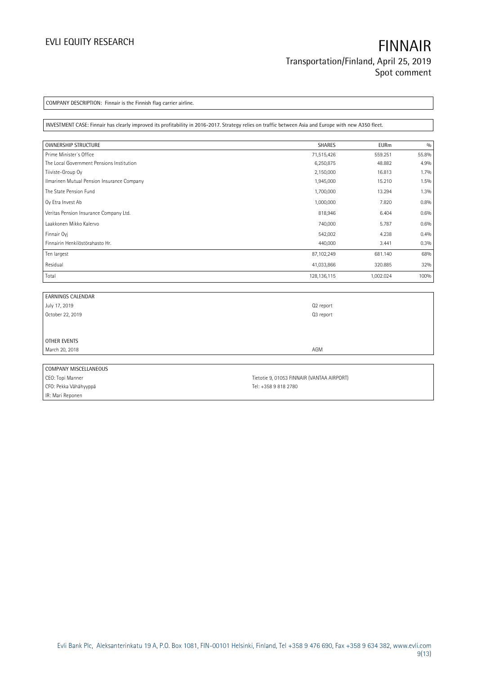COMPANY DESCRIPTION: Finnair is the Finnish flag carrier airline.

INVESTMENT CASE: Finnair has clearly improved its profitability in 2016-2017. Strategy relies on traffic between Asia and Europe with new A350 fleet.

| <b>OWNERSHIP STRUCTURE</b>                 | SHARES      | <b>EURm</b> | 0/0   |
|--------------------------------------------|-------------|-------------|-------|
| Prime Minister's Office                    | 71,515,426  | 559.251     | 55.8% |
| The Local Government Pensions Institution  | 6,250,875   | 48.882      | 4.9%  |
| Tiiviste-Group Oy                          | 2,150,000   | 16.813      | 1.7%  |
| Ilmarinen Mutual Pension Insurance Company | 1,945,000   | 15.210      | 1.5%  |
| The State Pension Fund                     | 1,700,000   | 13.294      | 1.3%  |
| Oy Etra Invest Ab                          | 1,000,000   | 7.820       | 0.8%  |
| Veritas Pension Insurance Company Ltd.     | 818,946     | 6.404       | 0.6%  |
| Laakkonen Mikko Kalervo                    | 740,000     | 5.787       | 0.6%  |
| Finnair Ovi                                | 542,002     | 4.238       | 0.4%  |
| Finnairin Henkilöstörahasto Hr.            | 440,000     | 3.441       | 0.3%  |
| Ten largest                                | 87,102,249  | 681.140     | 68%   |
| Residual                                   | 41,033,866  | 320.885     | 32%   |
| Total                                      | 128,136,115 | 1,002.024   | 100%  |

| <b>EARNINGS CALENDAR</b> |                                            |
|--------------------------|--------------------------------------------|
| July 17, 2019            | Q <sub>2</sub> report                      |
| October 22, 2019         | Q3 report                                  |
|                          |                                            |
|                          |                                            |
| <b>OTHER EVENTS</b>      |                                            |
| March 20, 2018           | AGM                                        |
|                          |                                            |
| COMPANY MISCELLANEOUS    |                                            |
| CEO: Topi Manner         | Tietotie 9, 01053 FINNAIR (VANTAA AIRPORT) |

IR: Mari Reponen

CFO: Pekka Vähähyyppä Tel: +358 9 818 2780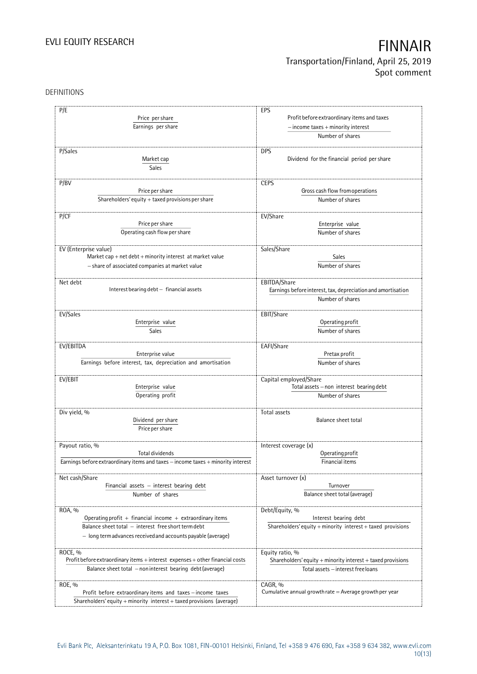### DEFINITIONS

| P/E                                                                              | EPS                                                                |
|----------------------------------------------------------------------------------|--------------------------------------------------------------------|
| Price per share                                                                  | Profit before extraordinary items and taxes                        |
|                                                                                  |                                                                    |
| Earnings per share                                                               | $-$ income taxes $+$ minority interest                             |
|                                                                                  | Number of shares                                                   |
| P/Sales                                                                          | <b>DPS</b>                                                         |
| Market cap                                                                       | Dividend for the financial period per share                        |
| Sales                                                                            |                                                                    |
|                                                                                  |                                                                    |
| P/BV                                                                             | <b>CEPS</b>                                                        |
| Price per share                                                                  | Gross cash flow from operations                                    |
| Shareholders' equity + taxed provisions per share                                | Number of shares                                                   |
|                                                                                  |                                                                    |
| P/CF                                                                             | EV/Share                                                           |
| Price per share                                                                  | Enterprise value                                                   |
| Operating cash flow per share                                                    | Number of shares                                                   |
|                                                                                  |                                                                    |
| EV (Enterprise value)                                                            | Sales/Share                                                        |
| Market cap + net $debt$ + minority interest at market value                      | Sales                                                              |
| - share of associated companies at market value                                  | Number of shares                                                   |
|                                                                                  |                                                                    |
| Net debt                                                                         | EBITDA/Share                                                       |
| Interest bearing debt - financial assets                                         | Earnings before interest, tax, depreciation and amortisation       |
|                                                                                  | Number of shares                                                   |
|                                                                                  |                                                                    |
| EV/Sales                                                                         | EBIT/Share                                                         |
| Enterprise value                                                                 | Operating profit                                                   |
| <b>Sales</b>                                                                     | Number of shares                                                   |
|                                                                                  |                                                                    |
| EV/EBITDA                                                                        | EAFI/Share                                                         |
| Enterprise value                                                                 | Pretax profit                                                      |
| Earnings before interest, tax, depreciation and amortisation                     | Number of shares                                                   |
|                                                                                  |                                                                    |
| EV/EBIT<br>Enterprise value                                                      | Capital employed/Share<br>Total assets - non interest bearing debt |
|                                                                                  |                                                                    |
| Operating profit                                                                 | Number of shares                                                   |
|                                                                                  | Total assets                                                       |
| Div yield, %<br>Dividend per share                                               | <b>Balance sheet total</b>                                         |
| Price per share                                                                  |                                                                    |
|                                                                                  |                                                                    |
| Payout ratio, %                                                                  | Interest coverage (x)                                              |
| Total dividends                                                                  | Operating profit                                                   |
| Earnings before extraordinary items and taxes - income taxes + minority interest | Financial items                                                    |
|                                                                                  |                                                                    |
| Net cash/Share                                                                   | Asset turnover (x)                                                 |
| Financial assets - interest bearing debt                                         | Turnover                                                           |
| Number of shares                                                                 | Balance sheet total (average)                                      |
|                                                                                  |                                                                    |
| ROA, %                                                                           | Debt/Equity, %                                                     |
| Operating profit + financial income + extraordinary items                        | Interest bearing debt                                              |
| Balance sheet total - interest free short term debt                              | Shareholders' equity + minority interest + taxed provisions        |
| - long term advances received and accounts payable (average)                     |                                                                    |
|                                                                                  |                                                                    |
| ROCE, %                                                                          | Equity ratio, %                                                    |
| Profit before extraordinary items + interest expenses + other financial costs    | Shareholders' equity + minority interest + taxed provisions        |
| Balance sheet total - non interest bearing debt (average)                        | Total assets - interest free loans                                 |
|                                                                                  |                                                                    |
| ROE, %                                                                           | CAGR, %                                                            |
| Profit before extraordinary items and taxes - income taxes                       | Cumulative annual growth rate $=$ Average growth per year          |
| Shareholders' equity + minority interest + taxed provisions (average)            |                                                                    |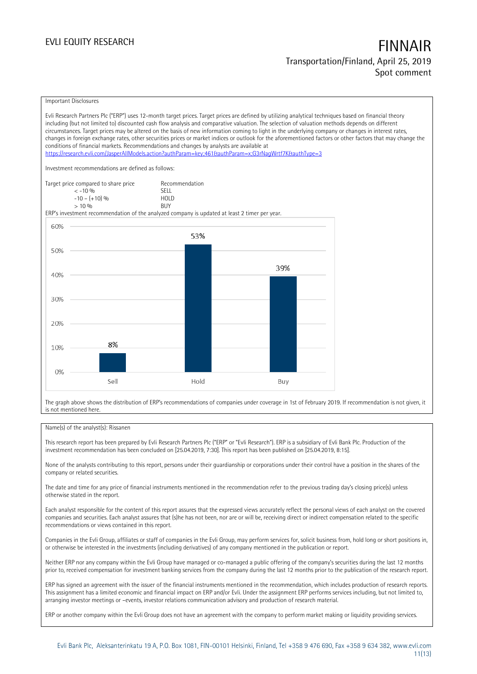#### Important Disclosures

Evli Research Partners Plc ("ERP") uses 12-month target prices. Target prices are defined by utilizing analytical techniques based on financial theory including (but not limited to) discounted cash flow analysis and comparative valuation. The selection of valuation methods depends on different circumstances. Target prices may be altered on the basis of new information coming to light in the underlying company or changes in interest rates, changes in foreign exchange rates, other securities prices or market indices or outlook for the aforementioned factors or other factors that may change the conditions of financial markets. Recommendations and changes by analysts are available at <https://research.evli.com/JasperAllModels.action?authParam=key;461&authParam=x;G3rNagWrtf7K&authType=3> Investment recommendations are defined as follows: Target price compared to share price Recommendation<br>  $\leq -10\%$  $\langle 5, 10, 10 \rangle$  SELL<br> $\langle -10, 10, 10 \rangle$  SELL  $-10 - (+10) \%$  HOL<br>  $> 10 \%$  RIJY  $> 10\%$ ERP's investment recommendation of the analyzed company is updated at least 2 timer per year. 60% 53% 50% 39% 40% 30% 20% 8% 10%  $0%$ Sell Hold Buy

The graph above shows the distribution of ERP's recommendations of companies under coverage in 1st of February 2019. If recommendation is not given, it is not mentioned here.

#### Name(s) of the analyst(s): Rissanen

This research report has been prepared by Evli Research Partners Plc ("ERP" or "Evli Research"). ERP is a subsidiary of Evli Bank Plc. Production of the investment recommendation has been concluded on [25.04.2019, 7:30]. This report has been published on [25.04.2019, 8:15].

None of the analysts contributing to this report, persons under their guardianship or corporations under their control have a position in the shares of the company or related securities.

The date and time for any price of financial instruments mentioned in the recommendation refer to the previous trading day's closing price(s) unless otherwise stated in the report.

Each analyst responsible for the content of this report assures that the expressed views accurately reflect the personal views of each analyst on the covered companies and securities. Each analyst assures that (s)he has not been, nor are or will be, receiving direct or indirect compensation related to the specific recommendations or views contained in this report.

Companies in the Evli Group, affiliates or staff of companies in the Evli Group, may perform services for, solicit business from, hold long or short positions in, or otherwise be interested in the investments (including derivatives) of any company mentioned in the publication or report.

Neither ERP nor any company within the Evli Group have managed or co-managed a public offering of the company's securities during the last 12 months prior to, received compensation for investment banking services from the company during the last 12 months prior to the publication of the research report.

ERP has signed an agreement with the issuer of the financial instruments mentioned in the recommendation, which includes production of research reports. This assignment has a limited economic and financial impact on ERP and/or Evli. Under the assignment ERP performs services including, but not limited to, arranging investor meetings or –events, investor relations communication advisory and production of research material.

ERP or another company within the Evli Group does not have an agreement with the company to perform market making or liquidity providing services.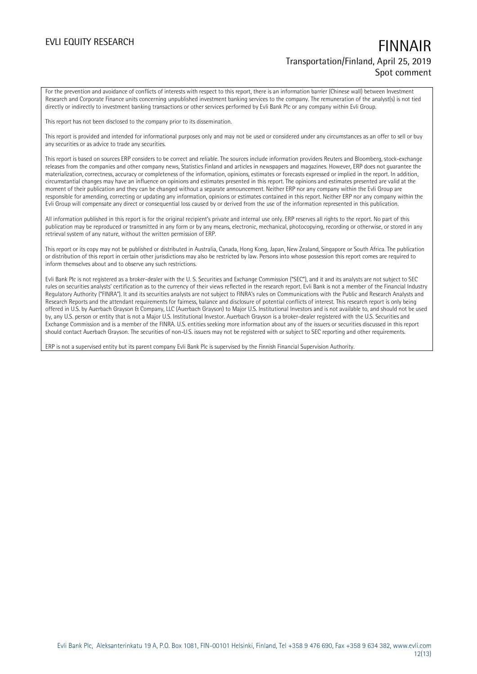For the prevention and avoidance of conflicts of interests with respect to this report, there is an information barrier (Chinese wall) between Investment Research and Corporate Finance units concerning unpublished investment banking services to the company. The remuneration of the analyst(s) is not tied directly or indirectly to investment banking transactions or other services performed by Evli Bank Plc or any company within Evli Group.

This report has not been disclosed to the company prior to its dissemination.

This report is provided and intended for informational purposes only and may not be used or considered under any circumstances as an offer to sell or buy any securities or as advice to trade any securities.

This report is based on sources ERP considers to be correct and reliable. The sources include information providers Reuters and Bloomberg, stock-exchange releases from the companies and other company news, Statistics Finland and articles in newspapers and magazines. However, ERP does not guarantee the materialization, correctness, accuracy or completeness of the information, opinions, estimates or forecasts expressed or implied in the report. In addition, circumstantial changes may have an influence on opinions and estimates presented in this report. The opinions and estimates presented are valid at the moment of their publication and they can be changed without a separate announcement. Neither ERP nor any company within the Evli Group are responsible for amending, correcting or updating any information, opinions or estimates contained in this report. Neither ERP nor any company within the Evli Group will compensate any direct or consequential loss caused by or derived from the use of the information represented in this publication.

All information published in this report is for the original recipient's private and internal use only. ERP reserves all rights to the report. No part of this publication may be reproduced or transmitted in any form or by any means, electronic, mechanical, photocopying, recording or otherwise, or stored in any retrieval system of any nature, without the written permission of ERP.

This report or its copy may not be published or distributed in Australia, Canada, Hong Kong, Japan, New Zealand, Singapore or South Africa. The publication or distribution of this report in certain other jurisdictions may also be restricted by law. Persons into whose possession this report comes are required to inform themselves about and to observe any such restrictions.

Evli Bank Plc is not registered as a broker-dealer with the U. S. Securities and Exchange Commission ("SEC"), and it and its analysts are not subject to SEC rules on securities analysts' certification as to the currency of their views reflected in the research report. Evli Bank is not a member of the Financial Industry Regulatory Authority ("FINRA"). It and its securities analysts are not subject to FINRA's rules on Communications with the Public and Research Analysts and Research Reports and the attendant requirements for fairness, balance and disclosure of potential conflicts of interest. This research report is only being offered in U.S. by Auerbach Grayson & Company, LLC (Auerbach Grayson) to Major U.S. Institutional Investors and is not available to, and should not be used by, any U.S. person or entity that is not a Major U.S. Institutional Investor. Auerbach Grayson is a broker-dealer registered with the U.S. Securities and Exchange Commission and is a member of the FINRA. U.S. entities seeking more information about any of the issuers or securities discussed in this report should contact Auerbach Grayson. The securities of non-U.S. issuers may not be registered with or subject to SEC reporting and other requirements.

ERP is not a supervised entity but its parent company Evli Bank Plc is supervised by the Finnish Financial Supervision Authority.